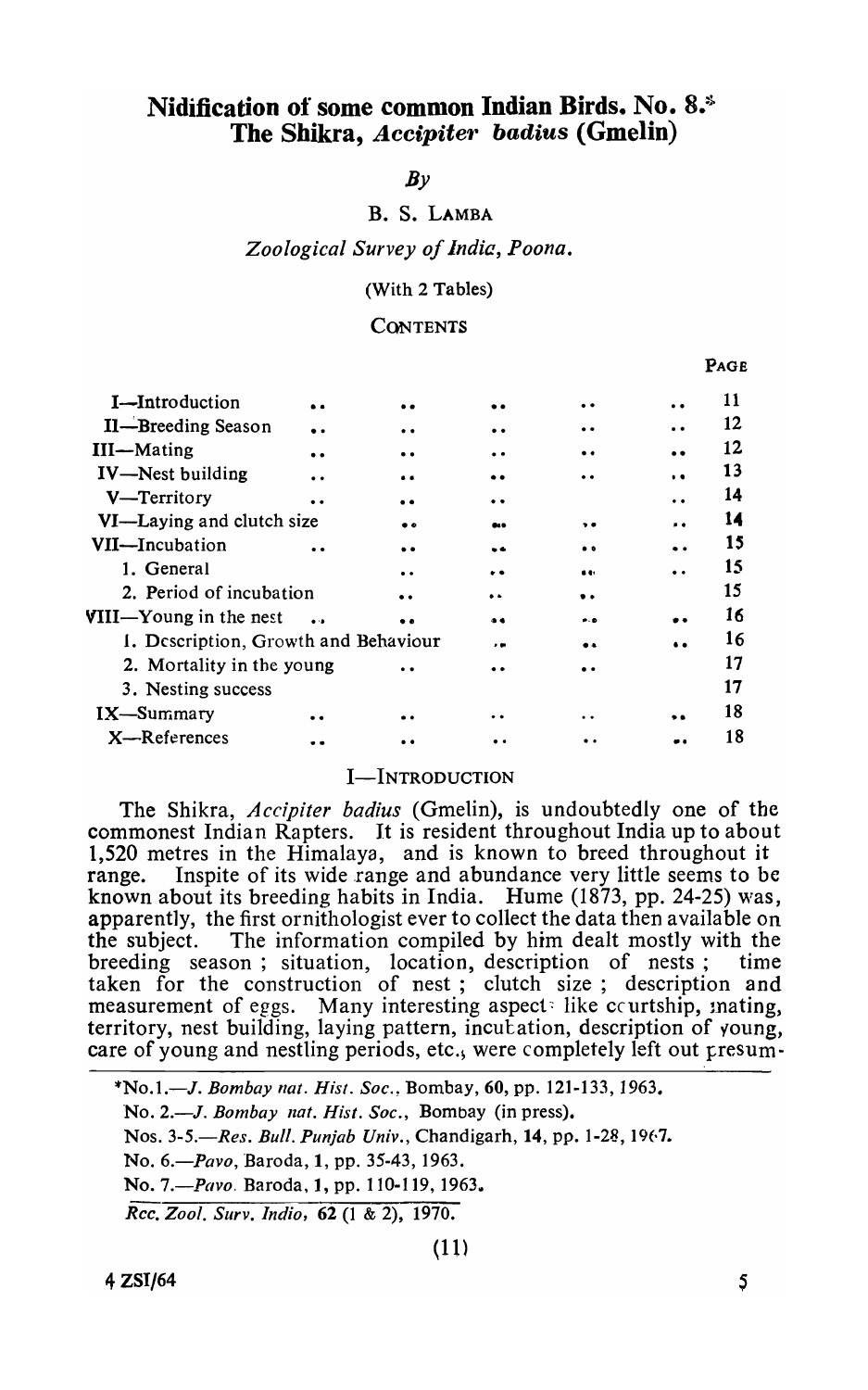# Nidification of some common Indian Birds. No. 8.<sup>5</sup> The Shikra, *Accipiter badius* (Gmelin)

# $Bv$

# B. S. LAMBA

*Zoological Survey of india, Poona.* 

(With 2 Tables)

#### **CONTENTS**

| I-Introduction                       | . .                  |           | . .              | . .                 | $\bullet$            | 11 |
|--------------------------------------|----------------------|-----------|------------------|---------------------|----------------------|----|
| II-Breeding Season                   | $\bullet$ $\bullet$  |           | $\bullet\bullet$ | $\bullet\bullet$    |                      | 12 |
| <b>III</b> -Mating                   | $\bullet$            |           | . .              | $\bullet\bullet$    | $\bullet$            | 12 |
| <b>IV-Nest building</b>              | $\ddot{\phantom{a}}$ |           | . .              |                     | $\ddot{\phantom{1}}$ | 13 |
| V-Territory                          | $\bullet\bullet$     |           | . .              |                     | . .                  | 14 |
| VI—Laying and clutch size            |                      | . .       | a.s              | $\bullet$           | . .                  | 14 |
| VII-Incubation                       |                      |           | . .              | $^{\circ}$          |                      | 15 |
| 1. General                           |                      | $\bullet$ | . .              | $\bullet$           |                      | 15 |
| 2. Period of incubation              |                      |           | $\bullet$        | $\bullet$ $\bullet$ |                      | 15 |
| <b>VIII—Young in the nest</b>        | $\sim$               |           | $^{\circ}$       | e- o                |                      | 16 |
| 1. Description, Growth and Behaviour |                      |           | . .              |                     | $\ddot{\phantom{a}}$ | 16 |
| 2. Mortality in the young            |                      |           |                  |                     |                      | 17 |
| 3. Nesting success                   |                      |           |                  |                     |                      | 17 |
| IX-Summary                           | . .                  |           | . .              |                     |                      | 18 |
| $X -$ References                     |                      |           |                  |                     |                      | 18 |
|                                      |                      |           |                  |                     |                      |    |

# I-INTRODUCTION

The Shikra, *Accipiter badius* (Gmelin), is undoubtedly one of the commonest Indian Rapters. It is resident throughout India up to about 1,520 metres in the Himalaya, and is known to breed throughout it range. Inspite of its wide range and abundance very little seems to be known about its breeding habits in India. Hume (1873, pp. 24-25) *\\ras,*  apparently, the first ornithologist ever to collect the data then available on the subject. The information compiled by him dealt mostly with the breeding season; situation, location, description of nests; time taken for the construction of nest; clutch size; description and measurement of eggs. Many interesting aspect: like courtship, mating, territory, nest building, laying pattern, incutation, description of young, care of young and nestling periods, etc., were completely left out presum-

*\*No.1.-J. Bombay flat. His!.* Soe.~ Bombay, 60, pp. 121-133,1963. ·No. *2.-J. Bombay nat. Hisl. Soc.,* Bombay (in press). Nos. 3-5.—Res. Bull. Punjab Univ., Chandigarh, 14, pp. 1-28, 1967. No. 6.-Pavo, Baroda, 1, pp. 35-43, 1963. No. *7.-Pavo.* Baroda, 1, pp. 110-119, 1963 .. *Ree. Zool. Surv. Indio,* 62 (l & 2), 1970.

PAGE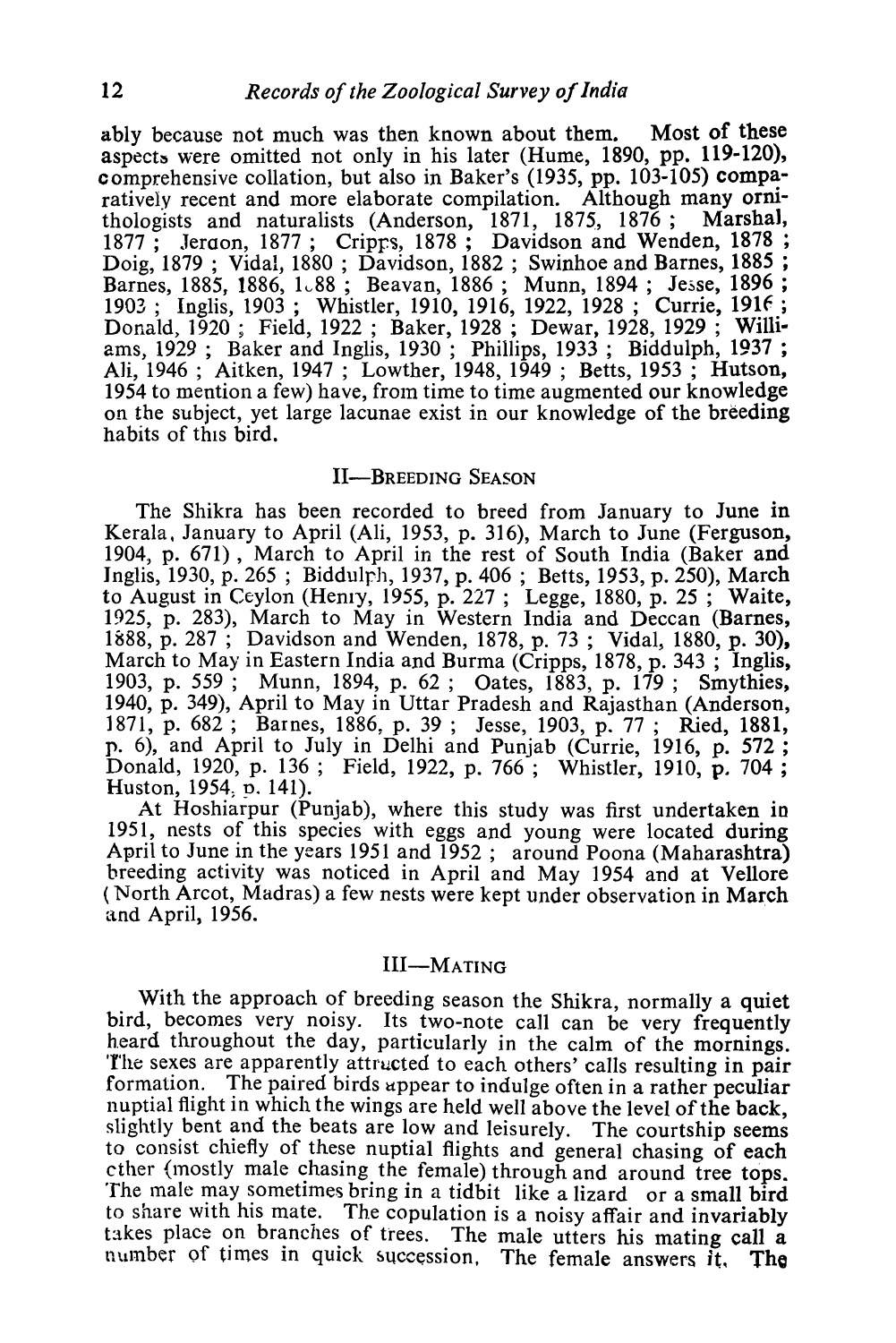ably because not much was then known about them. Most of these aspects were omitted not only in his later (Hume, 1890, pp. 119-120), comprehensive collation, but also in Baker's  $(1935, pp. 103-105)$  comparatively recent and more elaborate compilation. Although many ornithologists and naturalists (Anderson, 1871, 1875, 1876; Marshal, 1877; Jeraon, 1877; Cripps, 1878; Davidson and Wenden, 1878; Doig, 1879 ; Vidal, 1880 ; Davidson, 1882 ; Swinhoe and Barnes, 1885 ; Barnes, 1885, 1886, 1~88; Beavan, 1886; Munn, 1894; Jesse, 1896; 1903; Inglis, 1903; Whistler, 1910, 1916, 1922, 1928; Currie, 1916; Donald) 1920; Field, 1922; Baker, 1928 ; Dewar, 1928, 1929 ; WIllIams, 1929; Baker and Inglis, 1930; Phillips, 1933; Biddulph, 1937; Ali, 1946 ; Aitken, 1947 ; Lowther, 1948, 1949 ; Betts, 1953 ; Hutson, 1954 to mention a few) have, from time to time augmented our knowledge on the subject, yet large lacunae exist in our knowledge of the breeding habits of this bird.

# II-BREEDING SEASON

The Shikra has been recorded to breed from January to June in Kerala. January to April (Ali, 1953, p. 316), March to June (Ferguson, 1904, p. 671), March to April in the rest of South India (Baker and Inglis, 1930, p. 265; Biddulph, 1937, p. 406; Betts, 1953, p. 250), March to August in Ceylon (Henry, 1955, p. 227; Legge, 1880, p. 25; Waite, 1925, p. 283), March to May in Western India and Deccan (Barnes, 1888, p. 287; Davidson and Wenden, 1878, p. 73; Vidal, 1880, p. 30), March to May in Eastern India and Burma (Cripps, 1878, p. 343; Inglis, 1903, p. 559; Munn, 1894, p. 62; Oates, 1883, p. 179; Smythies, 1940, p. 349), April to May in Uttar Pradesh and Rajasthan (Anderson, 1871, p. 682; Barnes, 1886, p. 39; Jesse, 1903, p. 77; Ried, 1881, p. 6), and April to July in Delhi and Punjab (Currie, 1916, p. 572 ; Donald, 1920, p. 136; Field, 1922, p. 766; Whistler, 1910, p. 704; Huston, 1954, p. 141).

At Hoshiarpur (Punjab), where this study was first undertaken in 1951, nests of this species with eggs and young were located during April to June in the years 1951 and 1952; around Poona (Maharashtra) breeding activity was noticed in April and May 1954 and at Vellore (North Arcot, Madras) a few nests were kept under observation in March and April, 1956.

# III-MATING

With the approach of breeding season the Shikra, normally a quiet bird, becomes very noisy. Its two-note call can be very frequently heard throughout the day, particularly in the calm of the mornings. The sexes are apparently attructed to each others' calls resulting in pair<br>formation. The paired birds appear to indulge often in a rather peculiar The paired birds appear to indulge often in a rather peculiar nuptial flight in which the wings are held well above the level of the back, slightly bent and the beats are low and leisurely. The courtship seems to consist chiefly of these nuptial flights and general chasing of each cther (mostly male chasing the female) through and around tree tops. The male may sometimes bring in a tidbit like a lizard or a small bird to share with his mate. The copulation is a noisy affair and invariably takes place on branches of trees. The male utters his mating call a number of times in quick succession. The female answers  $\tilde{t}$ , The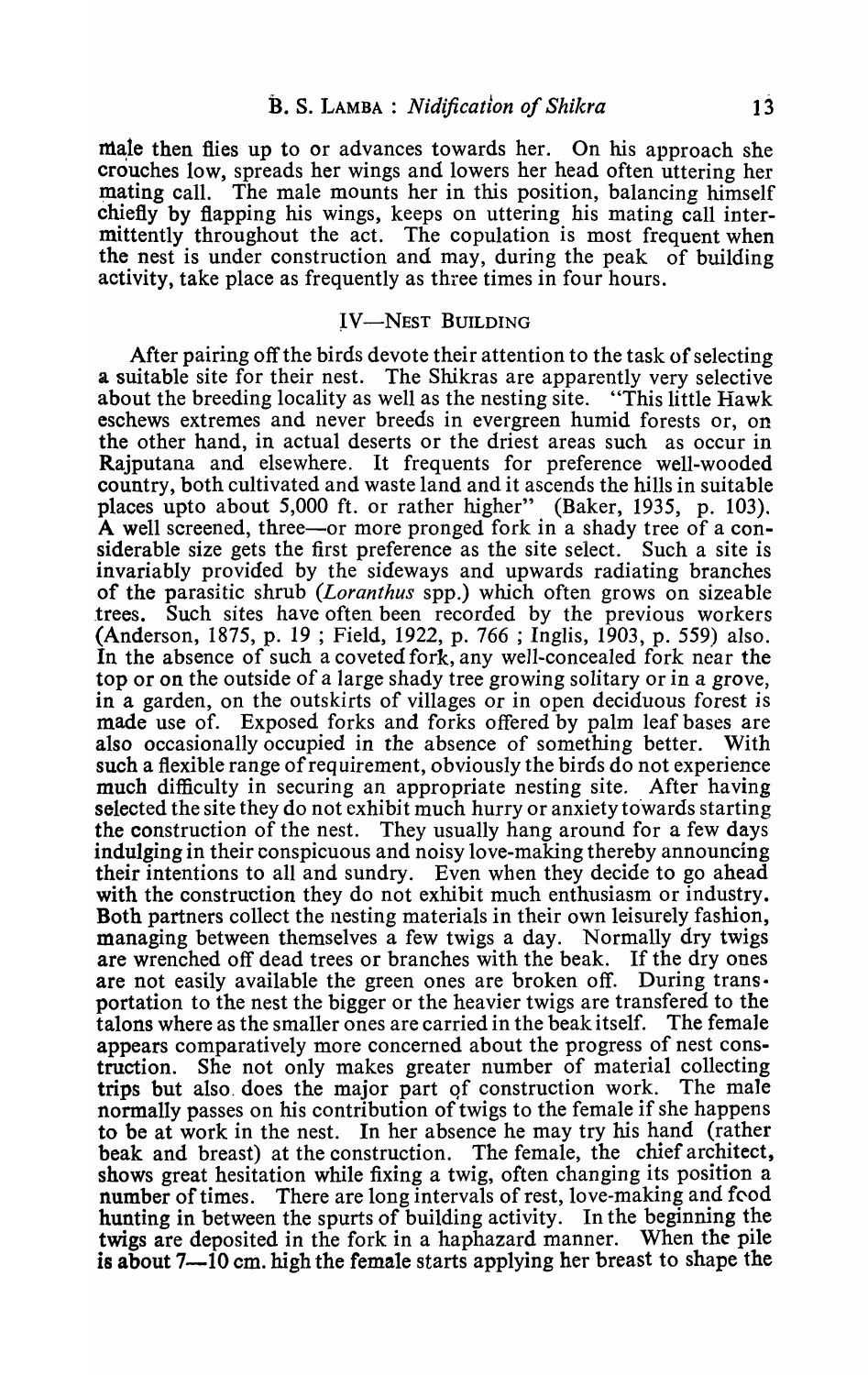male then flies up to or advances towards her. On his approach she crouches low, spreads her wings and lowers her head often uttering her mating call. The male mounts her in this position, balancing himself chiefly by flapping his wings, keeps on uttering his mating call intermittently throughout the act. The copulation is most frequent when the nest is under construction and may, during the peak of building activity, take place as frequently as three times in four hours.

### IV-NEST BUILDING

After pairing off the birds devote their attention to the task of selecting a suitable site for their nest. The Shikras are apparently very selective about the breeding locality as well as the nesting site. "This little Hawk eschews extremes and never breeds in evergreen humid forests or, on the other hand, in actual deserts or the driest areas such as occur in Rajputana and elsewhere. It frequents for preference well-wooded country, both cultivated and waste land and it ascends the hills in suitable places upto about 5,000 ft. or rather higher" (Baker, 1935, p. 103). A well screened, three—or more pronged fork in a shady tree of a considerable size gets the first preference as the site select. Such a site is invariably provided by the sideways and upwards radiating branches of the parasitic shrub *(Loranthus* spp.) which often grows on sizeable trees. Such sites have often been recorded by the previous workers (Anderson, 1875, p. 19 ; Field, 1922, p. 766 ; Inglis, 1903, p. 559) also. In the absence of such a coveted fork, any well-concealed fork near the top or on the outside of a large shady tree growing solitary or in a grove, in a garden, on the outskirts of villages or in open deciduous forest is made use of. Exposed forks and forks offered by palm leaf bases are also occasionally occupied in the absence of something better. With such a flexible range of requirement, obviously the birds do not experience much difficulty in securing an appropriate nesting site. After having selected the site they do not exhibit much hurry or anxiety towards starting the construction of the nest. They usually hang around for a few days indulging in their conspicuous and noisy love-making thereby announcing their intentions to all and sundry. Even when they decide to go ahead with the construction they do not exhibit much enthusiasm or industry. Both partners collect the nesting materials in their own leisurely fashion, managing between themselves a few twigs a day. Normally dry twigs are wrenched off dead trees or branches with the beak. If the dry ones are not easily available the green ones are broken off. During trans· portation to the nest the bigger or the heavier twigs are transfered to the talons where as the smaller ones are carried in the beak itself. The female appears comparatively more concerned about the progress of nest construction. She not only makes greater number of material collecting trips but also. does the major part qf construction work. The male normally passes on his contribution of twigs to the female if she happens to be at work in the nest. In her absence he may try his hand (rather beak and breast) at the construction. The female, the chief architect, shows great hesitation while fixing a twig, often changing its position a number of times. There are long intervals of rest, love-making and food hunting in between the spurts of building activity. In the beginning the twigs are deposited in the fork in a haphazard manner. When the pile is about 7-10 cm. high the female starts applying her breast to shape the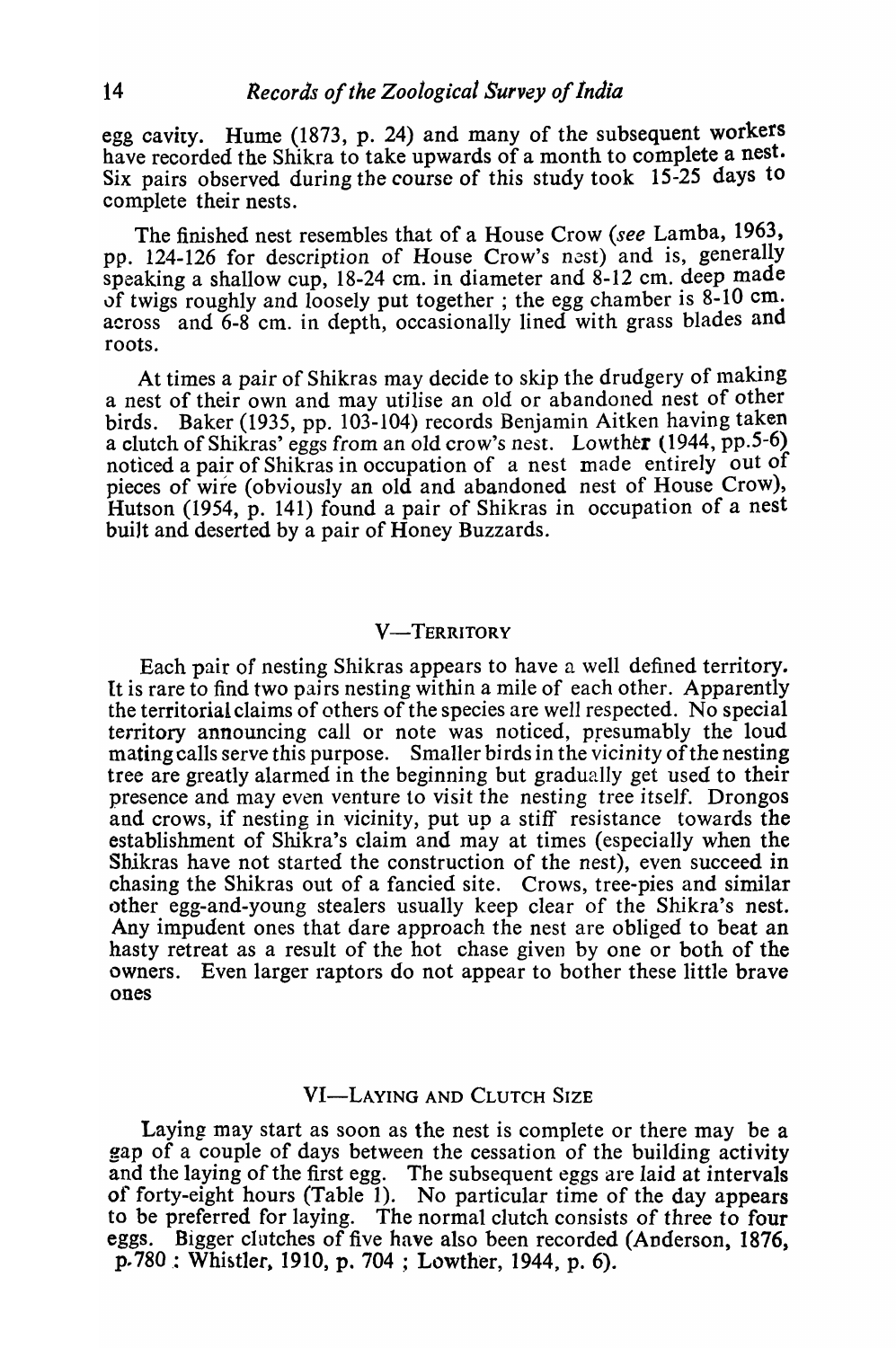egg cavity. Hume (1873, p. 24) and many of the subsequent workers have recorded the Shikra to take upwards of a month to complete a nest. Six pairs observed during the course of this study took 15-25 days to complete their nests.

The finished nest resembles that of a House Crow *(see* Lamba, 1963, pp. 124-126 for description of House Crow's nest) and is, generally speaking a shallow cup, 18-24 cm. in diameter and 8-12 cm. deep made of twigs roughly and loosely put together; the egg chamber is  $8-10$  cm. across and 6-8 cm. in depth, occasionally lined with grass blades and roots.

At times a pair of Shikras may decide to skip the drudgery of making a nest of their own and may utilise an old or abandoned nest of other birds. Baker (1935, pp. 103-104) records Benjamin Aitken having taken a clutch of Shikras' eggs from an old crow's nest. Lowther (1944, pp.5-6) noticed a pair of Shikras in occupation of a nest made entirely out of pieces of wire (obviously an old and abandoned nest of House Crow), Hutson (1954, p. 141) found a pair of Shikras in occupation of a nest built and deserted by a pair of Honey Buzzards.

# **V-TERRITORY**

Each pair of nesting Shikras appears to have a well defined territory. It is rare to find two pairs nesting within a mile of each other. Apparently the territorial claims of others of the species are well respected. No special territory announcing call or note was noticed, presumably the loud mating calls serve this purpose. Smaller birds in the vicinity of the nesting tree are greatly alarmed in the beginning but gradually get used to their presence and may even venture to visit the nesting tree itself. Drongos and crows, if nesting in vicinity, put up a stiff resistance towards the establishment of Shikra's claim and may at times (especially when the Shikras have not started the construction of the nest), even succeed in chasing the Shikras out of a fancied site. Crows, tree-pies and similar other egg-and-young stealers usually keep clear of the Shikra's nest. Any impudent ones that dare approach the nest are obliged to beat an hasty retreat as a result of the hot chase given by one or both of the owners. Even larger raptors do not appear to bother these little brave ones

# VI-LAYING AND CLUTCH SIZE

Laying may start as soon as the nest is complete or there may be a gap of a couple of days between the cessation of the building activity and the laying of the first egg. The subsequent eggs are laid at intervals of forty-eight hours (Table 1). No particular *time* of the day appears to be preferred for laying. The normal clutch consists of three to four eggs. Bigger clutches of five have also been recorded (Anderson, 1876,  $p.780$ : Whistler, 1910, p. 704; Lowther, 1944, p. 6).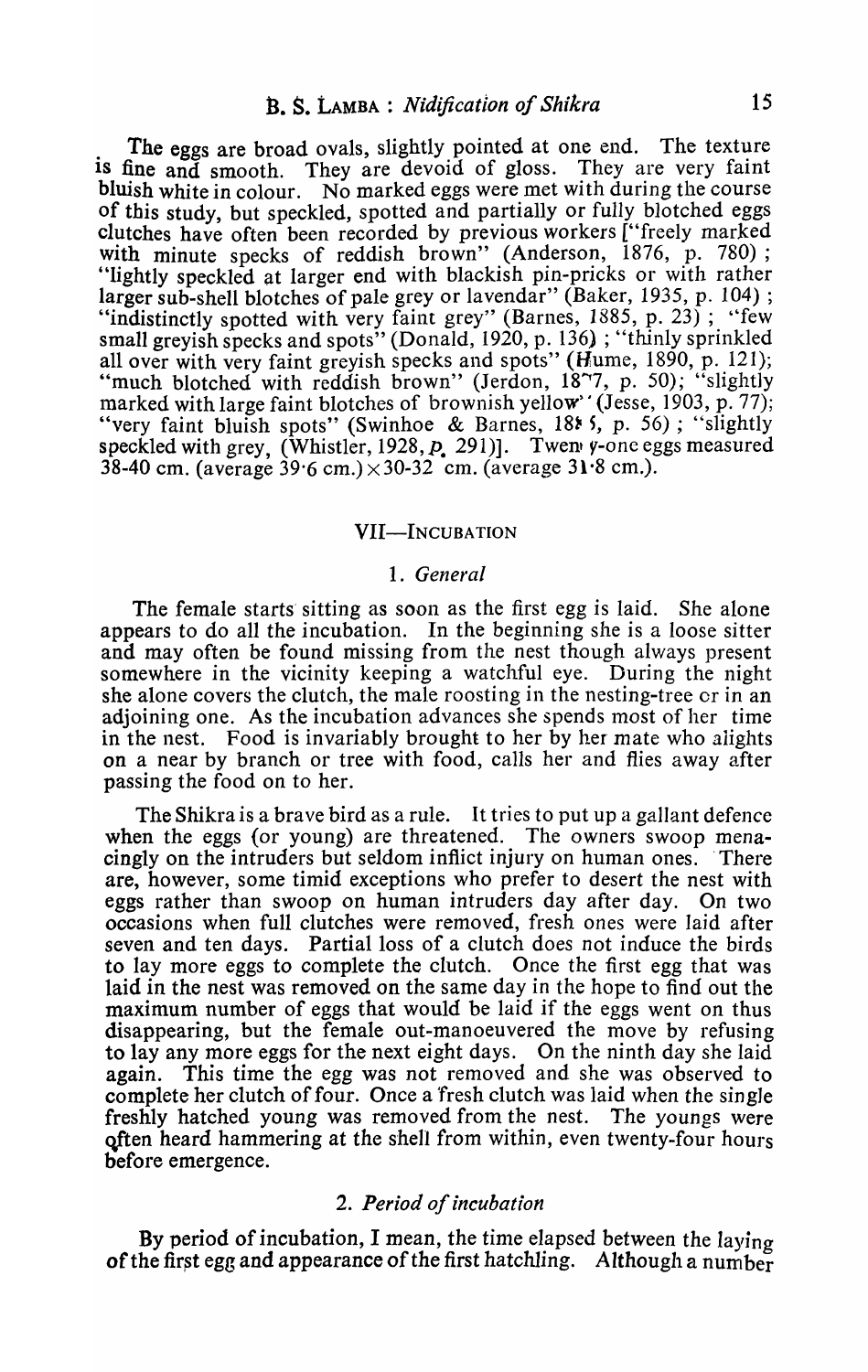The eggs are broad ovals, slightly pointed at one end. The texture is fine and smooth. They are devoid of gloss. They are very faint bluish white in colour. No marked eggs were met with during the course of this study, but speckled, spotted and partially or fully blotched eggs clutches have often been recorded by previous workers ["freely marked with minute specks of reddish brown" (Anderson, 1876, p. 780); "lightly speckled at larger end with blackish pin-pricks or with rather larger sub-shell blotches of pale grey or lavendar" (Baker, 1935, p. 104); "indistinctly spotted with very faint grey" (Barnes, 1885, p. 23); "few small greyish specks and spots" (Donald, 1920, p. 136); "thinly sprinkled all over with very faint greyish specks and spots" (Hume, 1890, p. 121); "much blotched with reddish brown" (Jerdon, 1877, p. 50); "slightly marked with large faint blotches of brownish yellow' (Jesse, 1903, p. 77); "very faint bluish spots" (Swinhoe & Barnes, 18\* 5, p. 56); "slightly speckled with grey, (Whistler, 1928,  $p$ , 291)]. Twen y-one eggs measured  $38-40$  cm. (average  $39.6$  cm.) $\times 30-32$  cm. (average  $31.8$  cm.).

#### VII-Incubation

#### *1. General*

The female starts sitting as soon as the first egg is laid. She alone appears to do all the incubation. In the beginning she is a loose sitter and may often be found missing from the nest though always present somewhere in the vicinity keeping a watchful eye. During the night she alone covers the clutch, the male roosting in the nesting-tree or in an adjoining one. As the incubation advances she spends most of her time in the nest. Food is invariably brought to her by her mate who alights on a near by branch or tree with food, calls her and flies away after passing the food on to her.

The Shikra is a brave bird as a rule. It tries to put up a gallant defence when the eggs (or young) are threatened. The owners swoop menacingly on the intruders but seldom inflict injury on human ones. There are, however, some timid exceptions who prefer to desert the nest with eggs rather than swoop on human intruders day after day. On two occasions when full clutches were removed, fresh ones were laid after seven and ten days. Partial loss of a clutch does not induce the birds to lay more eggs to complete the clutch. Once the first egg that was laid in the nest was removed on the same day in the hope to find out the maximum number of eggs that would be laid if the eggs went on thus disappearing, but the female out-manoeuvered the move by refusing to lay any more eggs for the next eight days. On the ninth day she laid again. This time the egg was not removed and she was observed to complete her clutch of four. Once a fresh clutch was laid when the single freshly hatched young was removed from the nest. The youngs were often heard hammering at the shell from within, even twenty-four hours before emergence.

### *2. Period of incubation*

By period of incubation, I mean, the time elapsed between the laying of the first egg and appearance of the first hatchling. Although a number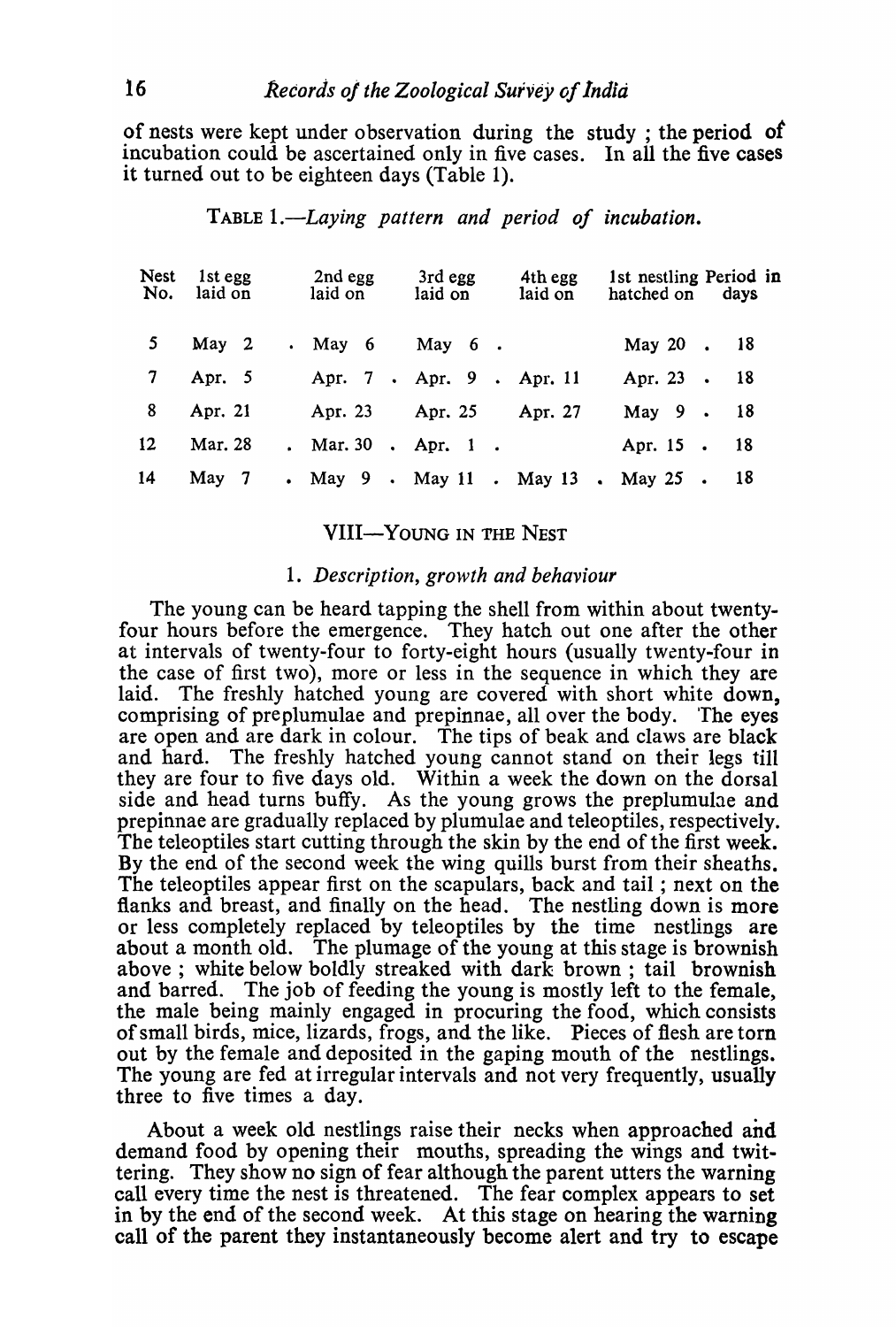of nests were kept under observation during the study; the period of incubation could be ascertained only in five cases. In all the five cases it turned out to be eighteen days (Table 1).

| <b>Nest</b><br>No. | 1st egg<br>laid on | 2nd egg<br>laid on   | 3rd egg<br>laid on        | 4th egg<br>laid on | 1st nestling Period in<br>hatched on days |
|--------------------|--------------------|----------------------|---------------------------|--------------------|-------------------------------------------|
| 5 <sup>7</sup>     | May <sub>2</sub>   | $\cdot$ May 6        | May $6 \cdot$             |                    | May 20 . 18                               |
| 7 <sup>7</sup>     | Apr. $5$           |                      | Apr. 7 . Apr. 9 . Apr. 11 |                    | Apr. 23 . 18                              |
| 8                  | Apr. 21            | Apr. 23              | Apr. 25                   | Apr. 27            | May 9. 18                                 |
| $12 \,$            | Mar. 28            | . Mar. 30 . Apr. 1 . |                           |                    | Apr. 15 . 18                              |
| 14                 | May 7              |                      |                           |                    | . May 9 . May 11 . May 13 . May 25 . 18   |

# TABLE 1.-Laying pattern and period of incubation.

# VIII-YOUNG IN THE NEST

# *1. Description, growth and behaviour*

The young can be heard tapping the shell from within about twentyfour hours before the emergence. They hatch out one after the other at intervals of twenty-four to forty-eight hours (usually twenty-four in the case of first two), more or less in the sequence in which they are laid. The freshly hatched young are covered with short white down. The freshly hatched young are covered with short white down, comprising of preplumulae and prepinnae, all over the body. 'The eyes are open and are dark in colour. The tips of beak and claws are black and hard. The freshly hatched young cannot stand on their legs till they are four to five days old. Within a week the down on the dorsal side and head turns buffy. As the young grows the preplumulae and prepinnae are gradually replaced by plumulae and teleoptiles, respectively. The teleoptiles start cutting through the skin by the end of the first week. By the end of the second week the wing quills burst from their sheaths. The teleoptiles appear first on the scapulars, back and tail; next on the flanks and breast, and finally on the head. The nestling down is more or less completely replaced by teleoptiles by the time nestlings are about a month old. The plumage of the young at this stage is brownish above; white below boldly streaked with dark brown; tail brownish and barred. The job of feeding the young is mostly left to the female, the male being mainly engaged in procuring the food, which consists of small birds, mice, lizards, frogs, and the like. Pieces of flesh are torn out by the female and deposited in the gaping mouth of the nestlings. The young are fed at irregular intervals and not very frequently, usually three to five times a day.

About a week old nestlings raise their necks when approached and demand food by opening their mouths, spreading the wings and twittering. They show no sign of fear although the parent utters the warning call every time the nest is threatened. The fear complex appears to set in by the end of the second week. At this stage on hearing the warning call of the parent they instantaneously become alert and try to escape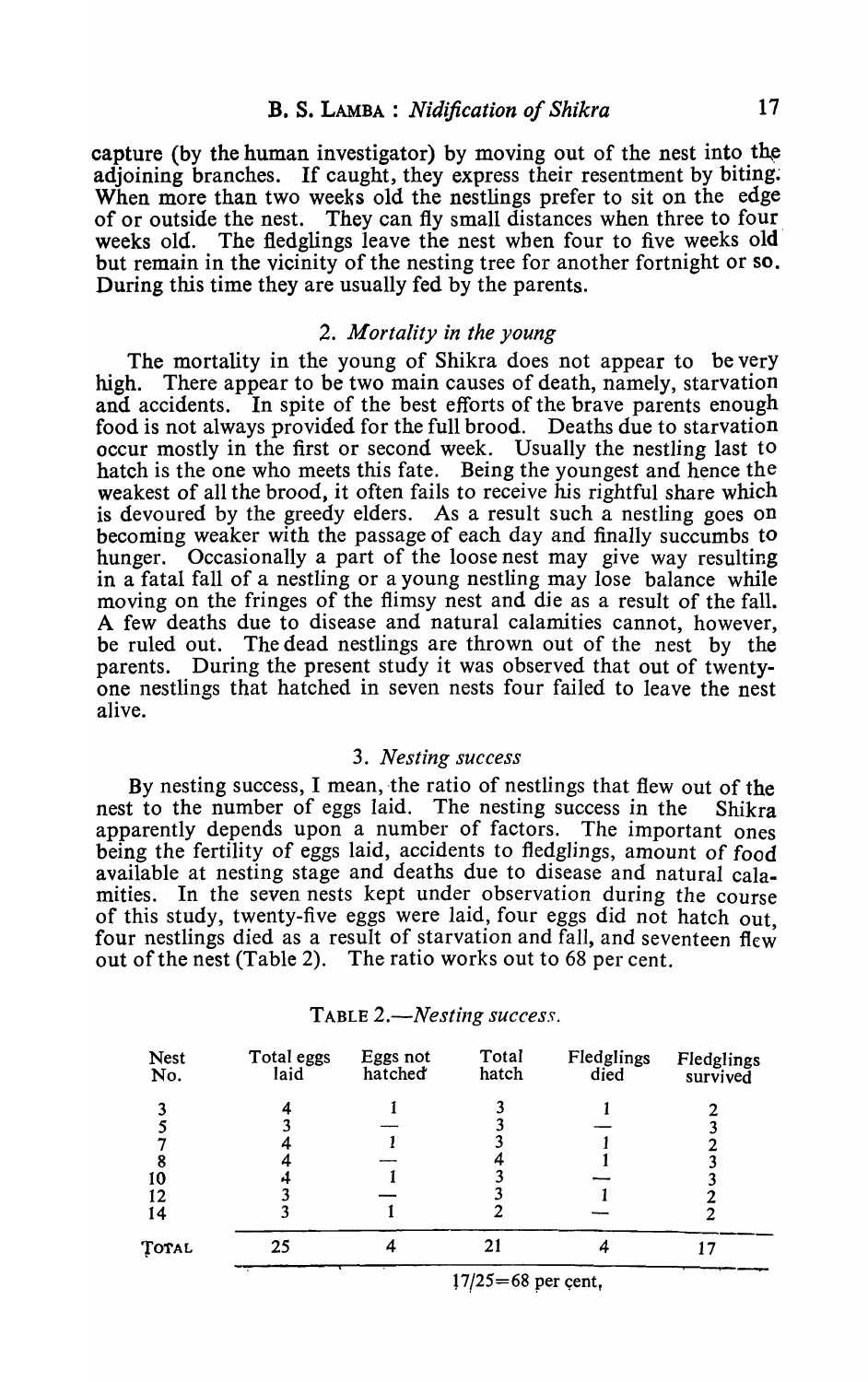capture (by the human investigator) by moving out of the nest into the adjoining branches. If caught, they express their resentment by biting. When more than two weeks old the nestlings prefer to sit on the edge of or outside the nest. They can fly small distances when three to four. weeks old. The fledglings leave the nest when four to five weeks old but remain in the vicinity of the nesting tree for another fortnight or so. During this time they are usually fed by the parents.

### 2. *Mortality in the young*

The mortality in the young of Shikra does not appear to be very high. There appear to be two main causes of death, namely, starvation and accidents. In spite of the best efforts of the brave parents enough food is not always provided for the full brood. Deaths due to starvation occur mostly in the first or second week. Usually the nestling last to hatch is the one who meets this fate. Being the youngest and hence the weakest of all the brood, it often fails to receive his rightful share which is devoured by the greedy elders. As a result such a nestling goes on becoming weaker with the passage of each day and finally succumbs to hunger. Occasionally a part of the loose nest may give way resulting in a fatal fall of a nestling or a young nestling may lose balance while moving on the fringes of the flimsy nest and die as a result of the fall. A few deaths due to disease and natural calamities cannot, however, be ruled out. The dead nestlings are thrown out of the nest by the parents. During the present study it was observed that out of twentyone nestlings that hatched in seven nests four failed to leave the nest alive.

## 3 . *Nesting success*

By nesting success, I mean, the ratio of nestlings that flew out of the nest to the number of eggs laid. The nesting success in the Shikra apparently depends upon a number of factors. The important ones being the fertility of eggs laid, accidents to fledglings, amount of food available at nesting stage and deaths due to disease and natural calamities. In the seven nests kept under observation during the course of this study, twenty-five eggs were laid, four eggs did not hatch out four nestlings died as a result of starvation and fall, and seventeen flew out of the nest (Table 2). The ratio works out to 68 per cent.

| <b>Nest</b><br>No. | Total eggs<br>laid | Eggs not<br>hatched | Total<br>hatch | Fledglings<br>died | Fledglings<br>survived |
|--------------------|--------------------|---------------------|----------------|--------------------|------------------------|
| າ                  |                    |                     |                |                    |                        |
|                    |                    |                     |                |                    |                        |
| 8<br>10            |                    |                     |                |                    |                        |
| 12<br>14           |                    |                     |                |                    |                        |
| TOTAL              | 25                 |                     | 21             | 4                  |                        |
|                    |                    |                     |                |                    |                        |

#### TABLE 2.—*Nesting success.*

 $17/25=68$  per cent,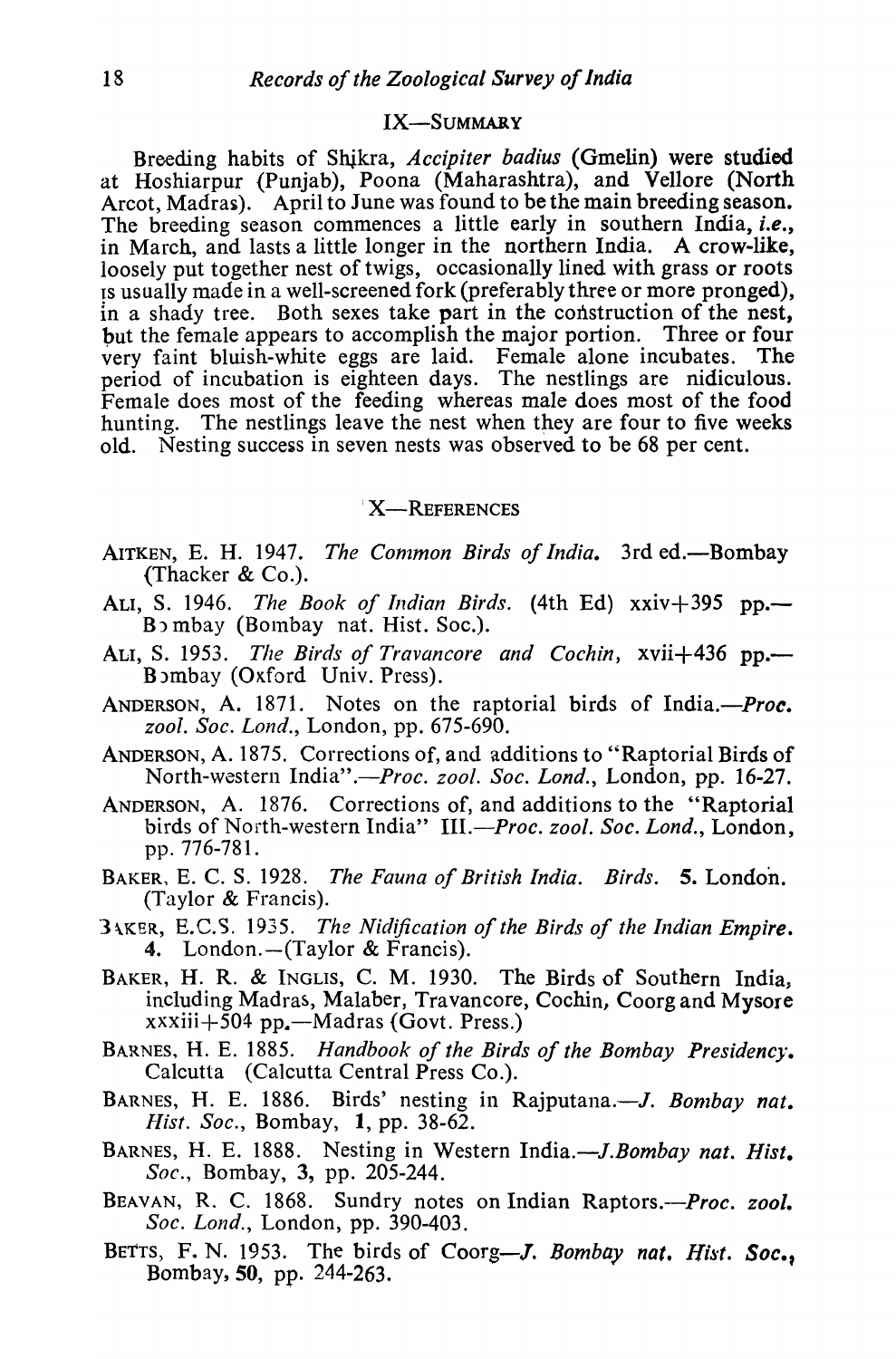# IX-SUMMARY

Breeding habits of Shikra, *Accipiter badius* (Gmelin) were studied at Hoshiarpur (Punjab), Poona (Maharashtra), and Vellore (North Arcot, Madras). April to June was found to be the main breeding season. The breeding season commences a little early in southern India, *i.e.,*  in March, and lasts a little longer in the northern India. A crow-like, loosely put together nest of twigs, occasionally lined with grass or roots is usually made in a well-screened fork (preferably three or more pronged), in a shady tree. Both sexes take part in the construction of the nest, but the female appears to accomplish the major portion. Three or four very faint bluish-white eggs are laid. Female alone incubates. The period of incubation is eighteen days. The nestlings are nidiculous. Female does most of the feeding whereas male does most of the food hunting. The nestlings leave the nest when they are four to five weeks old. Nesting success in seven nests was observed to be 68 per cent.

### X-REFERENCES

- AITKEN, E. H. 1947. *The Common Birds of India*. 3rd ed.—Bombay (Thacker & Co.).
- ALI, S. 1946. *The Book of Indian Birds.* (4th Ed) xxiv+395 pp.- Bombay (Bombay nat. Hist. Soc.).
- ALI, S. 1953. *The Birds of Travancore and Cochin*, xvii+436 pp.— B)mbay (OKford Univ. Press).
- ANDERSON, A. 1871. Notes on the raptorial birds of India.-*Proc. zool. Soc. Lond.,* London, pp. 675-690.
- ANDERSON, A. 1875. Corrections of, and additions to "Raptorial Birds of North-western *India".-Proc. zool. Soc. Lond.,* London, pp. 16-27.
- ANDERSON, A. 1876. Corrections of, and additions to the "Raptorial birds of North-western India" *III.-Proc. zool. Soc. Lond.,* London, pp. 776-781.
- BAKER, E. C. S. 1928. *The Fauna of British India. Birds.* 5. London. (Taylor & Francis).
- ] \KER, E.C.5. 1935. *The Nidification of the Birds of the Indian Empire.*  4. London. $-(Taylor & Francis)$ .
- BAKER, H. R. & INGLIS, C. M. 1930. The Birds of Southern India, including Madras, Malaber, Travancore, Cochin, Coorg and Mysore  $xxxiii+504$  pp.—Madras (Govt. Press.)
- BARNES, H. E. 1885. *Handbook of the Birds of the Bombay Presidency.*  Calcutta (Calcutta Central Press Co.).
- BARNES, H. E. 1886. Birds' nesting in Rajputana.-*J. Bombay nat. Hist. Soc.*, Bombay, 1, pp. 38-62.
- BARNES, H. E. 1888. Nesting in Western India.-*J.Bombay nat. Hist*. *Soc.,* Bombay, 3, pp. 205-244.
- BEAVAN, R. C. 1868. Sundry notes on Indian *Raptors.--Proc. zool. Soc. Lond.,* London, pp. 390-403.
- BETTS, F. N. 1953. The birds of Coorg-J. *Bombay nat. Hist. Soc.,*  Bombay, 50, pp. 244-263.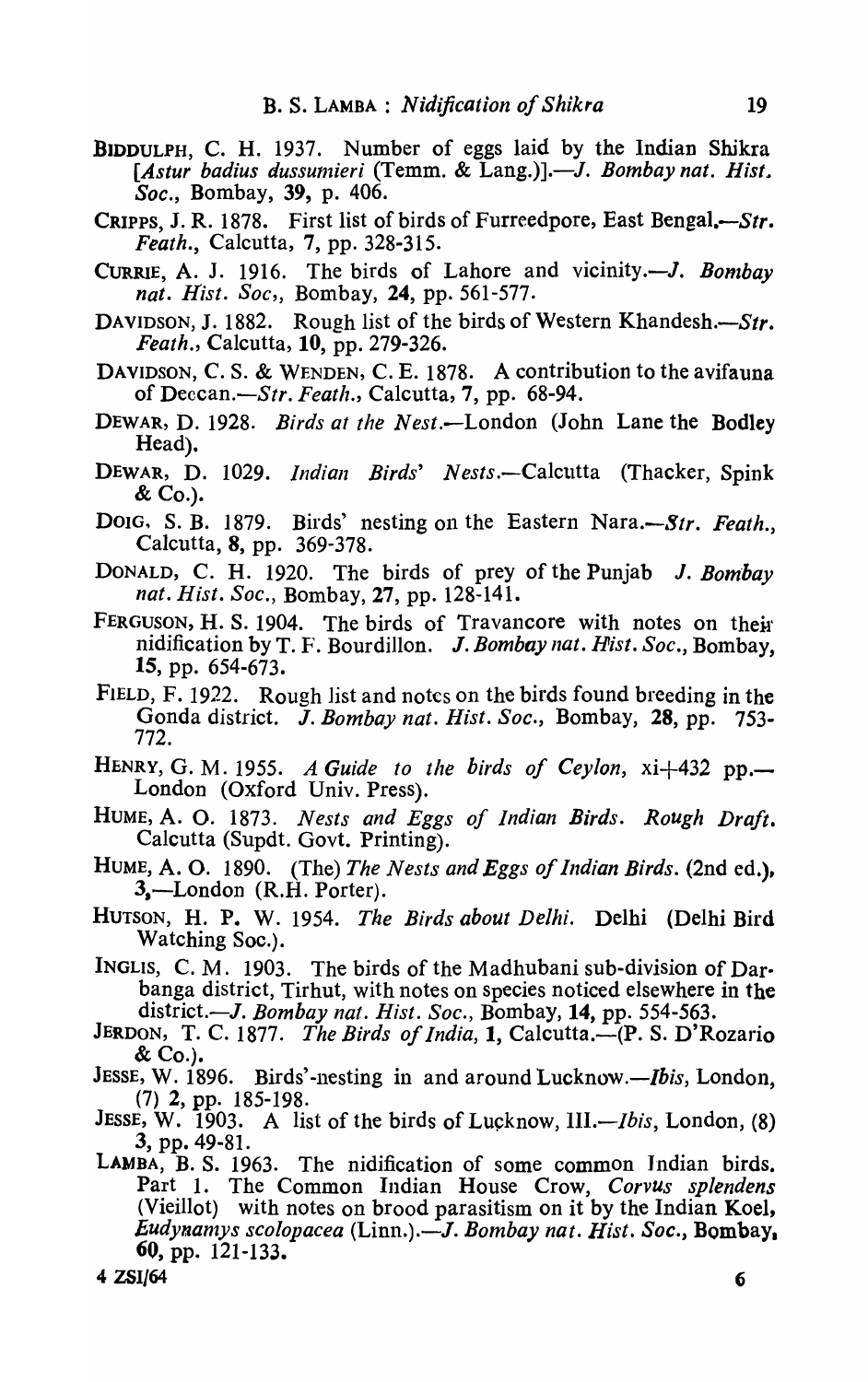- BIDDULPH, C. H. 1937. Number of eggs laid by the Indian Shikra [Astur badius dussumieri (Temm. & Lang.)].-*J. Bombay nat. Hist. Soc.,* Bombay, 39, p. 406.
- CRIPPS, J. R. 1878. First list of birds of Furreedpore, East Bengal. $-Str$ . *Feath.,* Calcutta, 7, pp. 328-315.
- CURRIE, A. J. 1916. The birds of Lahore and vicinity.-*J. Bombay* nat. Hist. Soc., Bombay, 24, pp. 561-577.
- DAVIDSON, J. 1882. Rough list of the birds of Western Khandesh.- $Str$ . *Feath.,* Calcutta, 10, pp. 279-326.
- DAVIDSON, C. S. & WENDEN, C. E. 1878. A contribution to the avifauna of *Deccan.-Str. Feath.,* Calcutta, 7, pp. 68-94.
- DEWAR, D. 1928. *Birds at the Nest.-London* (John Lane the Bodley Head).
- DEWAR, D. 1029. *Indian Birds' Nests.*—Calcutta (Thacker, Spink  $\&$  Co.).
- Doig, S. B. 1879. Birds' nesting on the Eastern Nara,—*Str. Feath.*, Calcutta, 8, pp. 369-378.
- DONALD, C. H. 1920. The birds of prey of the Punjab J. *Bombay nat. Hist. Soc.,* Bombay, 27, pp. 128-141.
- FERGUSON, H. S. 1904. The birds of Travancore with notes on their nidification by T. F'. Bourdillon. J. *Bombay nat. Hist. Soc.,* Bombay, 15, pp. 654-673.
- FIELD, F. 1922. Rough list and notes on the birds found breeding in the Gonda district. J. *Bombay nat. Hist. Soc.,* Bombay, 28, pp. 753- 772.
- HENRY, G. M. 1955. *A Guide to the birds of Ceylon*,  $xi+432$  pp.— London (Oxford Univ. Press).
- HUME, A. O. 1873. *Nests and Eggs of Indian Birds. Rough Draft.*  Calcutta (Supdt. Govt. Printing).
- HUME, A. O. 1890. (The) *The Nests and Eggs of Indian Birds.* (2nd ed.). 3,—London (R.H. Porter).
- HUTSON, H. P. W. 1954. *The Birds about Delhi.* Delhi (Delhi Bird Watching Soc.).
- INGLIS, C. M. 1903. The birds of the Madhubani sub-division of Darbanga district, Tirhut, with notes on species noticed elsewhere in the district.-J. *Bombay nat. Hist. Soc.,* Bombay, 14, pp. 554-563.
- JERDON, T. C. 1877. *The Birds of India*, **1**, Calcutta.—(P. S. D'Rozario  $\&$  Co.).
- JESSE, W. 1896. Birds'-nesting in and around Lucknow.—*Ibis*, London, (7) 2, pp. 185-198.
- JESSE, W. 1903. A list of the birds of Lucknow, *IlL-Ibis,* London, (8) 3, pp. 49-81.
- LAMBA, B. S. 1963. The nidification of some common Indian birds. Part 1. The Common Indian House Crow, Corvus splendens (Vieillot) with notes on brood parasitism on it by the Indian Koel, *£udynan1Ys scolopacea* (Linn.).-J. *Bombay nat. Hist. Soc.,* Bombay. 60, pp. 121-133.

 $4~ZSI/64$  6